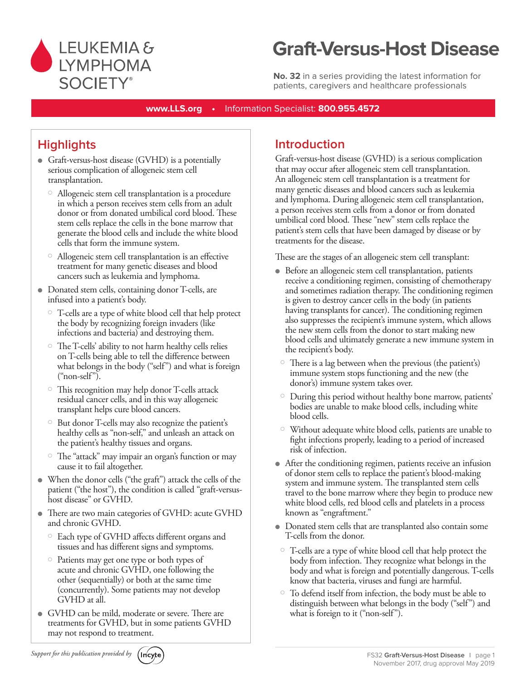

# **Graft-Versus-Host Disease**

**No. 32** in a series providing the latest information for patients, caregivers and healthcare professionals

**www.LLS.org •** Information Specialist: **800.955.4572**

# **Highlights**

- Graft-versus-host disease (GVHD) is a potentially serious complication of allogeneic stem cell transplantation.
	- Allogeneic stem cell transplantation is a procedure in which a person receives stem cells from an adult donor or from donated umbilical cord blood. These stem cells replace the cells in the bone marrow that generate the blood cells and include the white blood cells that form the immune system.
	- Allogeneic stem cell transplantation is an effective treatment for many genetic diseases and blood cancers such as leukemia and lymphoma.
- Donated stem cells, containing donor T-cells, are infused into a patient's body.
	- T-cells are a type of white blood cell that help protect the body by recognizing foreign invaders (like infections and bacteria) and destroying them.
	- The T-cells' ability to not harm healthy cells relies on T-cells being able to tell the difference between what belongs in the body ("self") and what is foreign ("non-self").
	- This recognition may help donor T-cells attack residual cancer cells, and in this way allogeneic transplant helps cure blood cancers.
	- $^{\circ}\,$  But donor T-cells may also recognize the patient's healthy cells as "non-self," and unleash an attack on the patient's healthy tissues and organs.
	- The "attack" may impair an organ's function or may cause it to fail altogether.
- <sup>l</sup> When the donor cells ("the graft") attack the cells of the patient ("the host"), the condition is called "graft-versushost disease" or GVHD.
- <sup>l</sup> There are two main categories of GVHD: acute GVHD and chronic GVHD.
	- Each type of GVHD affects different organs and tissues and has different signs and symptoms.
	- Patients may get one type or both types of acute and chronic GVHD, one following the other (sequentially) or both at the same time (concurrently). Some patients may not develop GVHD at all.
- GVHD can be mild, moderate or severe. There are treatments for GVHD, but in some patients GVHD may not respond to treatment.

# **Introduction**

Graft-versus-host disease (GVHD) is a serious complication that may occur after allogeneic stem cell transplantation. An allogeneic stem cell transplantation is a treatment for many genetic diseases and blood cancers such as leukemia and lymphoma. During allogeneic stem cell transplantation, a person receives stem cells from a donor or from donated umbilical cord blood. These "new" stem cells replace the patient's stem cells that have been damaged by disease or by treatments for the disease.

These are the stages of an allogeneic stem cell transplant:

- Before an allogeneic stem cell transplantation, patients receive a conditioning regimen, consisting of chemotherapy and sometimes radiation therapy. The conditioning regimen is given to destroy cancer cells in the body (in patients having transplants for cancer). The conditioning regimen also suppresses the recipient's immune system, which allows the new stem cells from the donor to start making new blood cells and ultimately generate a new immune system in the recipient's body.
- $\circ$  There is a lag between when the previous (the patient's) immune system stops functioning and the new (the donor's) immune system takes over.
- During this period without healthy bone marrow, patients' bodies are unable to make blood cells, including white blood cells.
- Without adequate white blood cells, patients are unable to fight infections properly, leading to a period of increased risk of infection.
- After the conditioning regimen, patients receive an infusion of donor stem cells to replace the patient's blood-making system and immune system. The transplanted stem cells travel to the bone marrow where they begin to produce new white blood cells, red blood cells and platelets in a process known as "engraftment."
- Donated stem cells that are transplanted also contain some T-cells from the donor.
- T-cells are a type of white blood cell that help protect the body from infection. They recognize what belongs in the body and what is foreign and potentially dangerous. T-cells know that bacteria, viruses and fungi are harmful.
- To defend itself from infection, the body must be able to distinguish between what belongs in the body ("self") and what is foreign to it ("non-self").

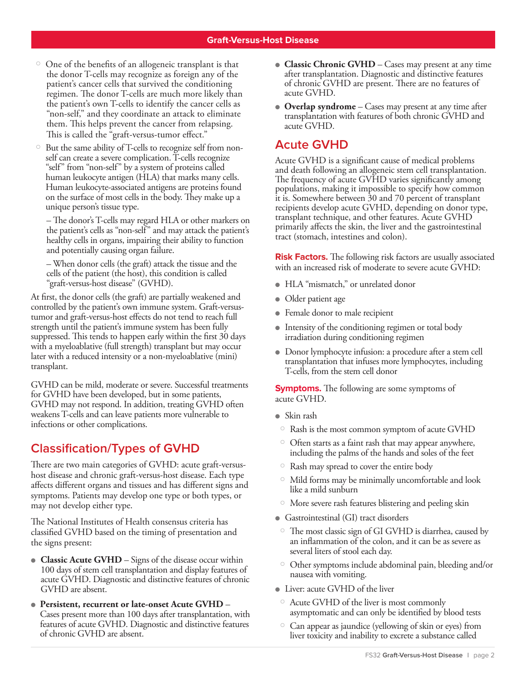- One of the benefits of an allogeneic transplant is that the donor T-cells may recognize as foreign any of the patient's cancer cells that survived the conditioning regimen. The donor T-cells are much more likely than the patient's own T-cells to identify the cancer cells as "non-self," and they coordinate an attack to eliminate them. This helps prevent the cancer from relapsing. This is called the "graft-versus-tumor effect."
- But the same ability of T-cells to recognize self from nonself can create a severe complication. T-cells recognize "self" from "non-self" by a system of proteins called human leukocyte antigen (HLA) that marks many cells. Human leukocyte-associated antigens are proteins found on the surface of most cells in the body. They make up a unique person's tissue type.

– The donor's T-cells may regard HLA or other markers on the patient's cells as "non-self" and may attack the patient's healthy cells in organs, impairing their ability to function and potentially causing organ failure.

– When donor cells (the graft) attack the tissue and the cells of the patient (the host), this condition is called "graft-versus-host disease" (GVHD).

At first, the donor cells (the graft) are partially weakened and controlled by the patient's own immune system. Graft-versustumor and graft-versus-host effects do not tend to reach full strength until the patient's immune system has been fully suppressed. This tends to happen early within the first 30 days with a myeloablative (full strength) transplant but may occur later with a reduced intensity or a non-myeloablative (mini) transplant.

GVHD can be mild, moderate or severe. Successful treatments for GVHD have been developed, but in some patients, GVHD may not respond. In addition, treating GVHD often weakens T-cells and can leave patients more vulnerable to infections or other complications.

## **Classification/Types of GVHD**

There are two main categories of GVHD: acute graft-versushost disease and chronic graft-versus-host disease. Each type affects different organs and tissues and has different signs and symptoms. Patients may develop one type or both types, or may not develop either type.

The National Institutes of Health consensus criteria has classified GVHD based on the timing of presentation and the signs present:

- **Classic Acute GVHD** Signs of the disease occur within 100 days of stem cell transplantation and display features of acute GVHD. Diagnostic and distinctive features of chronic GVHD are absent.
- <sup>l</sup>**Persistent, recurrent or late-onset Acute GVHD** Cases present more than 100 days after transplantation, with features of acute GVHD. Diagnostic and distinctive features of chronic GVHD are absent.
- **Classic Chronic GVHD** Cases may present at any time after transplantation. Diagnostic and distinctive features of chronic GVHD are present. There are no features of acute GVHD.
- **Overlap syndrome** Cases may present at any time after transplantation with features of both chronic GVHD and acute GVHD.

### **Acute GVHD**

Acute GVHD is a significant cause of medical problems and death following an allogeneic stem cell transplantation. The frequency of acute GVHD varies significantly among populations, making it impossible to specify how common it is. Somewhere between 30 and 70 percent of transplant recipients develop acute GVHD, depending on donor type, transplant technique, and other features. Acute GVHD primarily affects the skin, the liver and the gastrointestinal tract (stomach, intestines and colon).

**Risk Factors.** The following risk factors are usually associated with an increased risk of moderate to severe acute GVHD:

- $\bullet$  HLA "mismatch," or unrelated donor
- Older patient age
- Female donor to male recipient
- $\bullet$  Intensity of the conditioning regimen or total body irradiation during conditioning regimen
- Donor lymphocyte infusion: a procedure after a stem cell transplantation that infuses more lymphocytes, including T-cells, from the stem cell donor

**Symptoms.** The following are some symptoms of acute GVHD.

- $\bullet$  Skin rash
- Rash is the most common symptom of acute GVHD
- $\circ$  Often starts as a faint rash that may appear anywhere, including the palms of the hands and soles of the feet
- Rash may spread to cover the entire body
- Mild forms may be minimally uncomfortable and look like a mild sunburn
- More severe rash features blistering and peeling skin
- Gastrointestinal (GI) tract disorders
- The most classic sign of GI GVHD is diarrhea, caused by an inflammation of the colon, and it can be as severe as several liters of stool each day.
- Other symptoms include abdominal pain, bleeding and/or nausea with vomiting.
- **I** Liver: acute GVHD of the liver
- Acute GVHD of the liver is most commonly asymptomatic and can only be identified by blood tests
- Can appear as jaundice (yellowing of skin or eyes) from liver toxicity and inability to excrete a substance called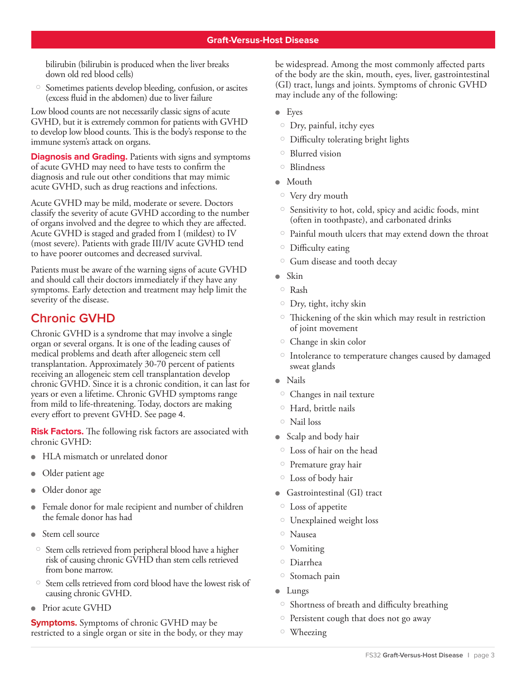bilirubin (bilirubin is produced when the liver breaks down old red blood cells)

 Sometimes patients develop bleeding, confusion, or ascites (excess fluid in the abdomen) due to liver failure

Low blood counts are not necessarily classic signs of acute GVHD, but it is extremely common for patients with GVHD to develop low blood counts. This is the body's response to the immune system's attack on organs.

**Diagnosis and Grading.** Patients with signs and symptoms of acute GVHD may need to have tests to confirm the diagnosis and rule out other conditions that may mimic acute GVHD, such as drug reactions and infections.

Acute GVHD may be mild, moderate or severe. Doctors classify the severity of acute GVHD according to the number of organs involved and the degree to which they are affected. Acute GVHD is staged and graded from I (mildest) to IV (most severe). Patients with grade III/IV acute GVHD tend to have poorer outcomes and decreased survival.

Patients must be aware of the warning signs of acute GVHD and should call their doctors immediately if they have any symptoms. Early detection and treatment may help limit the severity of the disease.

### **Chronic GVHD**

Chronic GVHD is a syndrome that may involve a single organ or several organs. It is one of the leading causes of medical problems and death after allogeneic stem cell transplantation. Approximately 30-70 percent of patients receiving an allogeneic stem cell transplantation develop chronic GVHD. Since it is a chronic condition, it can last for years or even a lifetime. Chronic GVHD symptoms range from mild to life-threatening. Today, doctors are making every effort to prevent GVHD. See page 4.

**Risk Factors.** The following risk factors are associated with chronic GVHD:

- HLA mismatch or unrelated donor
- Older patient age
- Older donor age
- Female donor for male recipient and number of children the female donor has had
- $\bullet$  Stem cell source
- Stem cells retrieved from peripheral blood have a higher risk of causing chronic GVHD than stem cells retrieved from bone marrow.
- $\circ$  Stem cells retrieved from cord blood have the lowest risk of causing chronic GVHD.
- Prior acute GVHD

**Symptoms.** Symptoms of chronic GVHD may be restricted to a single organ or site in the body, or they may be widespread. Among the most commonly affected parts of the body are the skin, mouth, eyes, liver, gastrointestinal (GI) tract, lungs and joints. Symptoms of chronic GVHD may include any of the following:

- $\bullet$  Eyes
- Dry, painful, itchy eyes
- Difficulty tolerating bright lights
- Blurred vision
- Blindness
- $\bullet$  Mouth
- Very dry mouth
- $\circ$  Sensitivity to hot, cold, spicy and acidic foods, mint (often in toothpaste), and carbonated drinks
- $\circ$  Painful mouth ulcers that may extend down the throat
- Difficulty eating
- Gum disease and tooth decay
- $\bullet$  Skin
- $\circ$  Rash
- $\circ$  Dry, tight, itchy skin
- Thickening of the skin which may result in restriction of joint movement
- $\circ$  Change in skin color
- $\circ$  Intolerance to temperature changes caused by damaged sweat glands
- $\bullet$  Nails
- Changes in nail texture
- Hard, brittle nails
- Nail loss
- $\bullet$  Scalp and body hair
- Loss of hair on the head
- $\circ$  Premature gray hair
- Loss of body hair
- **Gastrointestinal (GI) tract**
- Loss of appetite
- Unexplained weight loss
- Nausea
- Vomiting
- Diarrhea
- Stomach pain
- $\bullet$  Lungs
- Shortness of breath and difficulty breathing
- Persistent cough that does not go away
- Wheezing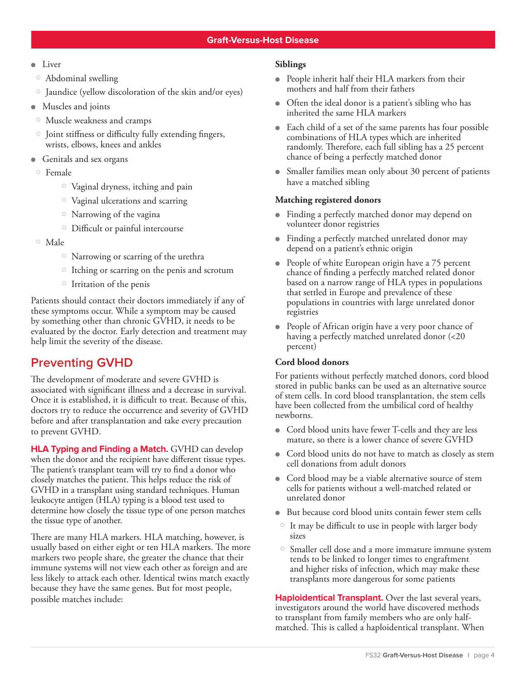- $\blacksquare$ Liver
- Abdominal swelling
- Jaundice (yellow discoloration of the skin and/or eyes)
- Muscles and joints
- Muscle weakness and cramps
- $\circ$  Joint stiffness or difficulty fully extending fingers, wrists, elbows, knees and ankles
- $\bullet$  Genitals and sex organs
- Female
	- Vaginal dryness, itching and pain
	- Vaginal ulcerations and scarring
	- Narrowing of the vagina
	- Difficult or painful intercourse
- Male
	- Narrowing or scarring of the urethra
	- $\circ$  Itching or scarring on the penis and scrotum
	- $\circ$  Irritation of the penis

Patients should contact their doctors immediately if any of these symptoms occur. While a symptom may be caused by something other than chronic GVHD, it needs to be evaluated by the doctor. Early detection and treatment may help limit the severity of the disease.

### **Preventing GVHD**

The development of moderate and severe GVHD is associated with significant illness and a decrease in survival. Once it is established, it is difficult to treat. Because of this, doctors try to reduce the occurrence and severity of GVHD before and after transplantation and take every precaution to prevent GVHD.

**HLA Typing and Finding a Match.** GVHD can develop when the donor and the recipient have different tissue types. The patient's transplant team will try to find a donor who closely matches the patient. This helps reduce the risk of GVHD in a transplant using standard techniques. Human leukocyte antigen (HLA) typing is a blood test used to determine how closely the tissue type of one person matches the tissue type of another.

There are many HLA markers. HLA matching, however, is usually based on either eight or ten HLA markers. The more markers two people share, the greater the chance that their immune systems will not view each other as foreign and are less likely to attack each other. Identical twins match exactly because they have the same genes. But for most people, possible matches include:

#### **Siblings**

- People inherit half their HLA markers from their mothers and half from their fathers
- $\bullet$  Often the ideal donor is a patient's sibling who has inherited the same HLA markers
- <sup>l</sup>Each child of a set of the same parents has four possible combinations of HLA types which are inherited randomly. Therefore, each full sibling has a 25 percent chance of being a perfectly matched donor
- Smaller families mean only about 30 percent of patients have a matched sibling

#### **Matching registered donors**

- Finding a perfectly matched donor may depend on volunteer donor registries
- Finding a perfectly matched unrelated donor may depend on a patient's ethnic origin
- People of white European origin have a 75 percent chance of finding a perfectly matched related donor based on a narrow range of HLA types in populations that settled in Europe and prevalence of these populations in countries with large unrelated donor registries
- People of African origin have a very poor chance of having a perfectly matched unrelated donor (<20 percent)

#### **Cord blood donors**

For patients without perfectly matched donors, cord blood stored in public banks can be used as an alternative source of stem cells. In cord blood transplantation, the stem cells have been collected from the umbilical cord of healthy newborns.

- $\bullet$  Cord blood units have fewer T-cells and they are less mature, so there is a lower chance of severe GVHD
- $\bullet$  Cord blood units do not have to match as closely as stem cell donations from adult donors
- Cord blood may be a viable alternative source of stem cells for patients without a well-matched related or unrelated donor
- $\bullet$  But because cord blood units contain fewer stem cells
- $\circ$  It may be difficult to use in people with larger body sizes
- Smaller cell dose and a more immature immune system tends to be linked to longer times to engraftment and higher risks of infection, which may make these transplants more dangerous for some patients

**Haploidentical Transplant.** Over the last several years, investigators around the world have discovered methods to transplant from family members who are only halfmatched. This is called a haploidentical transplant. When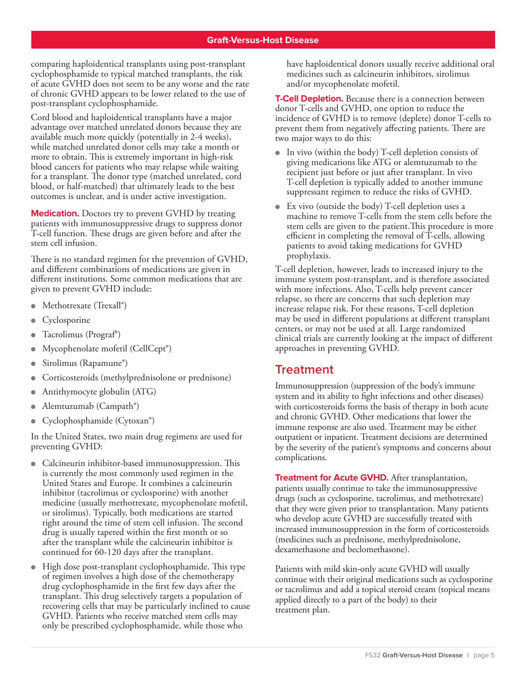comparing haploidentical transplants using post-transplant cyclophosphamide to typical matched transplants, the risk of acute GVHD does not seem to be any worse and the rate of chronic GVHD appears to be lower related to the use of post-transplant cyclophosphamide.

Cord blood and haploidentical transplants have a major advantage over matched unrelated donors because they are available much more quickly (potentially in 2-4 weeks), while matched unrelated donor cells may take a month or more to obtain. This is extremely important in high-risk blood cancers for patients who may relapse while waiting for a transplant. The donor type (matched unrelated, cord blood, or half-matched) that ultimately leads to the best outcomes is unclear, and is under active investigation.

**Medication.** Doctors try to prevent GVHD by treating patients with immunosuppressive drugs to suppress donor T-cell function. These drugs are given before and after the stem cell infusion.

There is no standard regimen for the prevention of GVHD, and different combinations of medications are given in different institutions. Some common medications that are given to prevent GVHD include:

- Methotrexate (Trexall®)
- Cyclosporine
- Tacrolimus (Prograf®)
- <sup>l</sup>Mycophenolate mofetil (CellCept®)
- Sirolimus (Rapamune®)
- Corticosteroids (methylprednisolone or prednisone)
- <sup>l</sup>Antithymocyte globulin (ATG)
- <sup>l</sup>Alemtuzumab (Campath®)
- Cyclophosphamide (Cytoxan®)

In the United States, two main drug regimens are used for preventing GVHD:

- Calcineurin inhibitor-based immunosuppression. This is currently the most commonly used regimen in the United States and Europe. It combines a calcineurin inhibitor (tacrolimus or cyclosporine) with another medicine (usually methotrexate, mycophenolate mofetil, or sirolimus). Typically, both medications are started right around the time of stem cell infusion. The second drug is usually tapered within the first month or so after the transplant while the calcineurin inhibitor is continued for 60-120 days after the transplant.
- $\bullet$  High dose post-transplant cyclophosphamide. This type of regimen involves a high dose of the chemotherapy drug cyclophosphamide in the first few days after the transplant. This drug selectively targets a population of recovering cells that may be particularly inclined to cause GVHD. Patients who receive matched stem cells may only be prescribed cyclophosphamide, while those who

have haploidentical donors usually receive additional oral medicines such as calcineurin inhibitors, sirolimus and/or mycophenolate mofetil.

**T-Cell Depletion.** Because there is a connection between donor T-cells and GVHD, one option to reduce the incidence of GVHD is to remove (deplete) donor T-cells to prevent them from negatively affecting patients. There are two major ways to do this:

- $\blacksquare$  In vivo (within the body) T-cell depletion consists of giving medications like ATG or alemtuzumab to the recipient just before or just after transplant. In vivo T-cell depletion is typically added to another immune suppressant regimen to reduce the risks of GVHD.
- $\bullet$  Ex vivo (outside the body) T-cell depletion uses a machine to remove T-cells from the stem cells before the stem cells are given to the patient.This procedure is more efficient in completing the removal of T-cells, allowing patients to avoid taking medications for GVHD prophylaxis.

T-cell depletion, however, leads to increased injury to the immune system post-transplant, and is therefore associated with more infections. Also, T-cells help prevent cancer relapse, so there are concerns that such depletion may increase relapse risk. For these reasons, T-cell depletion may be used in different populations at different transplant centers, or may not be used at all. Large randomized clinical trials are currently looking at the impact of different approaches in preventing GVHD.

### **Treatment**

Immunosuppression (suppression of the body's immune system and its ability to fight infections and other diseases) with corticosteroids forms the basis of therapy in both acute and chronic GVHD. Other medications that lower the immune response are also used. Treatment may be either outpatient or inpatient. Treatment decisions are determined by the severity of the patient's symptoms and concerns about complications.

**Treatment for Acute GVHD.** After transplantation, patients usually continue to take the immunosuppressive drugs (such as cyclosporine, tacrolimus, and methotrexate) that they were given prior to transplantation. Many patients who develop acute GVHD are successfully treated with increased immunosuppression in the form of corticosteroids (medicines such as prednisone, methylprednisolone, dexamethasone and beclomethasone).

Patients with mild skin-only acute GVHD will usually continue with their original medications such as cyclosporine or tacrolimus and add a topical steroid cream (topical means applied directly to a part of the body) to their treatment plan.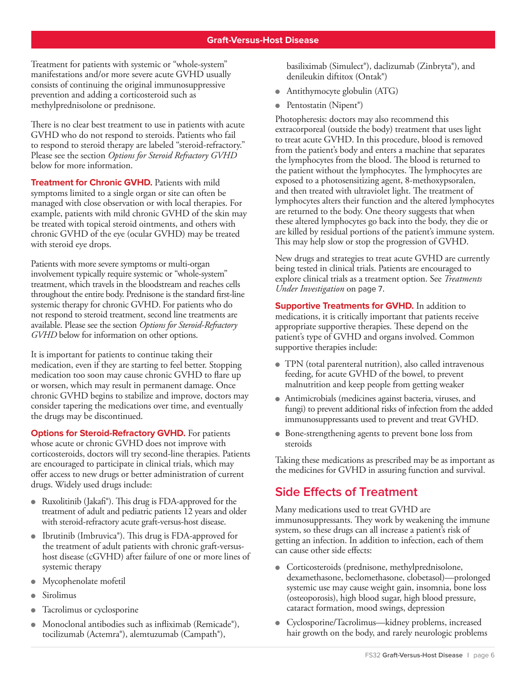Treatment for patients with systemic or "whole-system" manifestations and/or more severe acute GVHD usually consists of continuing the original immunosuppressive prevention and adding a corticosteroid such as methylprednisolone or prednisone.

There is no clear best treatment to use in patients with acute GVHD who do not respond to steroids. Patients who fail to respond to steroid therapy are labeled "steroid-refractory." Please see the section *Options for Steroid Refractory GVHD*  below for more information.

**Treatment for Chronic GVHD.** Patients with mild symptoms limited to a single organ or site can often be managed with close observation or with local therapies. For example, patients with mild chronic GVHD of the skin may be treated with topical steroid ointments, and others with chronic GVHD of the eye (ocular GVHD) may be treated with steroid eye drops.

Patients with more severe symptoms or multi-organ involvement typically require systemic or "whole-system" treatment, which travels in the bloodstream and reaches cells throughout the entire body. Prednisone is the standard first-line systemic therapy for chronic GVHD. For patients who do not respond to steroid treatment, second line treatments are available. Please see the section *Options for Steroid-Refractory GVHD* below for information on other options.

It is important for patients to continue taking their medication, even if they are starting to feel better. Stopping medication too soon may cause chronic GVHD to flare up or worsen, which may result in permanent damage. Once chronic GVHD begins to stabilize and improve, doctors may consider tapering the medications over time, and eventually the drugs may be discontinued.

**Options for Steroid-Refractory GVHD.** For patients whose acute or chronic GVHD does not improve with corticosteroids, doctors will try second-line therapies. Patients are encouraged to participate in clinical trials, which may offer access to new drugs or better administration of current drugs. Widely used drugs include:

- Ruxolitinib (Jakafi®). This drug is FDA-approved for the treatment of adult and pediatric patients 12 years and older with steroid-refractory acute graft-versus-host disease.
- Ibrutinib (Imbruvica®). This drug is FDA-approved for the treatment of adult patients with chronic graft-versushost disease (cGVHD) after failure of one or more lines of systemic therapy
- <sup>l</sup>Mycophenolate mofetil
- Sirolimus
- Tacrolimus or cyclosporine
- Monoclonal antibodies such as infliximab (Remicade®), tocilizumab (Actemra®), alemtuzumab (Campath®),

basiliximab (Simulect®), daclizumab (Zinbryta®), and denileukin diftitox (Ontak®)

- Antithymocyte globulin (ATG)
- Pentostatin (Nipent<sup>®</sup>)

Photopheresis: doctors may also recommend this extracorporeal (outside the body) treatment that uses light to treat acute GVHD. In this procedure, blood is removed from the patient's body and enters a machine that separates the lymphocytes from the blood. The blood is returned to the patient without the lymphocytes. The lymphocytes are exposed to a photosensitizing agent, 8-methoxypsoralen, and then treated with ultraviolet light. The treatment of lymphocytes alters their function and the altered lymphocytes are returned to the body. One theory suggests that when these altered lymphocytes go back into the body, they die or are killed by residual portions of the patient's immune system. This may help slow or stop the progression of GVHD.

New drugs and strategies to treat acute GVHD are currently being tested in clinical trials. Patients are encouraged to explore clinical trials as a treatment option. See *Treatments Under Investigation* on page 7.

**Supportive Treatments for GVHD.** In addition to medications, it is critically important that patients receive appropriate supportive therapies. These depend on the patient's type of GVHD and organs involved. Common supportive therapies include:

- TPN (total parenteral nutrition), also called intravenous feeding, for acute GVHD of the bowel, to prevent malnutrition and keep people from getting weaker
- Antimicrobials (medicines against bacteria, viruses, and fungi) to prevent additional risks of infection from the added immunosuppressants used to prevent and treat GVHD.
- Bone-strengthening agents to prevent bone loss from steroids

Taking these medications as prescribed may be as important as the medicines for GVHD in assuring function and survival.

### **Side Effects of Treatment**

Many medications used to treat GVHD are immunosuppressants. They work by weakening the immune system, so these drugs can all increase a patient's risk of getting an infection. In addition to infection, each of them can cause other side effects:

- $\bullet$  Corticosteroids (prednisone, methylprednisolone, dexamethasone, beclomethasone, clobetasol)—prolonged systemic use may cause weight gain, insomnia, bone loss (osteoporosis), high blood sugar, high blood pressure, cataract formation, mood swings, depression
- Cyclosporine/Tacrolimus—kidney problems, increased hair growth on the body, and rarely neurologic problems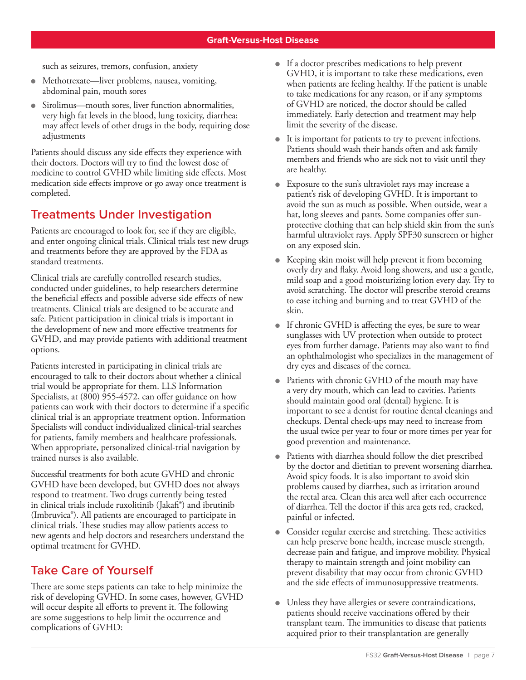such as seizures, tremors, confusion, anxiety

- Methotrexate—liver problems, nausea, vomiting, abdominal pain, mouth sores
- $\bullet$  Sirolimus—mouth sores, liver function abnormalities, very high fat levels in the blood, lung toxicity, diarrhea; may affect levels of other drugs in the body, requiring dose adjustments

Patients should discuss any side effects they experience with their doctors. Doctors will try to find the lowest dose of medicine to control GVHD while limiting side effects. Most medication side effects improve or go away once treatment is completed.

# **Treatments Under Investigation**

Patients are encouraged to look for, see if they are eligible, and enter ongoing clinical trials. Clinical trials test new drugs and treatments before they are approved by the FDA as standard treatments.

Clinical trials are carefully controlled research studies, conducted under guidelines, to help researchers determine the beneficial effects and possible adverse side effects of new treatments. Clinical trials are designed to be accurate and safe. Patient participation in clinical trials is important in the development of new and more effective treatments for GVHD, and may provide patients with additional treatment options.

Patients interested in participating in clinical trials are encouraged to talk to their doctors about whether a clinical trial would be appropriate for them. LLS Information Specialists, at (800) 955-4572, can offer guidance on how patients can work with their doctors to determine if a specific clinical trial is an appropriate treatment option. Information Specialists will conduct individualized clinical-trial searches for patients, family members and healthcare professionals. When appropriate, personalized clinical-trial navigation by trained nurses is also available.

Successful treatments for both acute GVHD and chronic GVHD have been developed, but GVHD does not always respond to treatment. Two drugs currently being tested in clinical trials include ruxolitinib (Jakafi<sup>®</sup>) and ibrutinib (Imbruvica®). All patients are encouraged to participate in clinical trials. These studies may allow patients access to new agents and help doctors and researchers understand the optimal treatment for GVHD.

# **Take Care of Yourself**

There are some steps patients can take to help minimize the risk of developing GVHD. In some cases, however, GVHD will occur despite all efforts to prevent it. The following are some suggestions to help limit the occurrence and complications of GVHD:

- **If a doctor prescribes medications to help prevent** GVHD, it is important to take these medications, even when patients are feeling healthy. If the patient is unable to take medications for any reason, or if any symptoms of GVHD are noticed, the doctor should be called immediately. Early detection and treatment may help limit the severity of the disease.
- $\bullet$  It is important for patients to try to prevent infections. Patients should wash their hands often and ask family members and friends who are sick not to visit until they are healthy.
- <sup>l</sup>Exposure to the sun's ultraviolet rays may increase a patient's risk of developing GVHD. It is important to avoid the sun as much as possible. When outside, wear a hat, long sleeves and pants. Some companies offer sunprotective clothing that can help shield skin from the sun's harmful ultraviolet rays. Apply SPF30 sunscreen or higher on any exposed skin.
- $\bullet$  Keeping skin moist will help prevent it from becoming overly dry and flaky. Avoid long showers, and use a gentle, mild soap and a good moisturizing lotion every day. Try to avoid scratching. The doctor will prescribe steroid creams to ease itching and burning and to treat GVHD of the skin.
- **If chronic GVHD is affecting the eyes, be sure to wear** sunglasses with UV protection when outside to protect eyes from further damage. Patients may also want to find an ophthalmologist who specializes in the management of dry eyes and diseases of the cornea.
- Patients with chronic GVHD of the mouth may have a very dry mouth, which can lead to cavities. Patients should maintain good oral (dental) hygiene. It is important to see a dentist for routine dental cleanings and checkups. Dental check-ups may need to increase from the usual twice per year to four or more times per year for good prevention and maintenance.
- Patients with diarrhea should follow the diet prescribed by the doctor and dietitian to prevent worsening diarrhea. Avoid spicy foods. It is also important to avoid skin problems caused by diarrhea, such as irritation around the rectal area. Clean this area well after each occurrence of diarrhea. Tell the doctor if this area gets red, cracked, painful or infected.
- Consider regular exercise and stretching. These activities can help preserve bone health, increase muscle strength, decrease pain and fatigue, and improve mobility. Physical therapy to maintain strength and joint mobility can prevent disability that may occur from chronic GVHD and the side effects of immunosuppressive treatments.
- Unless they have allergies or severe contraindications, patients should receive vaccinations offered by their transplant team. The immunities to disease that patients acquired prior to their transplantation are generally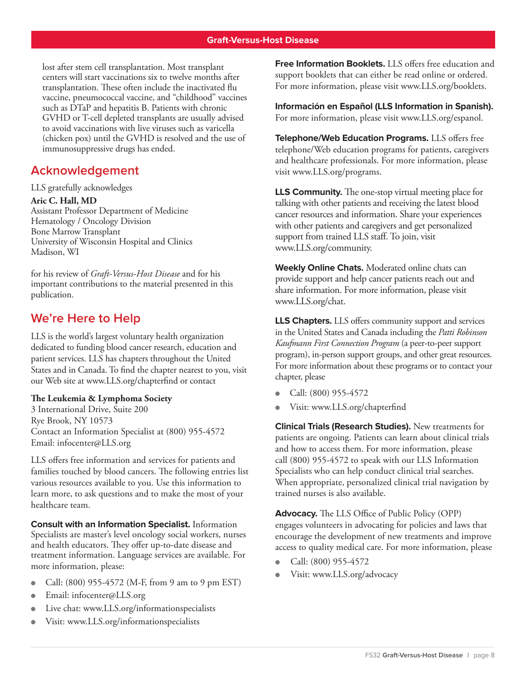lost after stem cell transplantation. Most transplant centers will start vaccinations six to twelve months after transplantation. These often include the inactivated flu vaccine, pneumococcal vaccine, and "childhood" vaccines such as DTaP and hepatitis B. Patients with chronic GVHD or T-cell depleted transplants are usually advised to avoid vaccinations with live viruses such as varicella (chicken pox) until the GVHD is resolved and the use of immunosuppressive drugs has ended.

### **Acknowledgement**

LLS gratefully acknowledges

**Aric C. Hall, MD**

Assistant Professor Department of Medicine Hematology / Oncology Division Bone Marrow Transplant University of Wisconsin Hospital and Clinics Madison, WI

for his review of *Graft-Versus-Host Disease* and for his important contributions to the material presented in this publication.

## **We're Here to Help**

LLS is the world's largest voluntary health organization dedicated to funding blood cancer research, education and patient services. LLS has chapters throughout the United States and in Canada. To find the chapter nearest to you, visit our Web site at www.LLS.org/chapterfind or contact

#### **The Leukemia & Lymphoma Society**

3 International Drive, Suite 200 Rye Brook, NY 10573 Contact an Information Specialist at (800) 955-4572 Email: infocenter@LLS.org

LLS offers free information and services for patients and families touched by blood cancers. The following entries list various resources available to you. Use this information to learn more, to ask questions and to make the most of your healthcare team.

**Consult with an Information Specialist.** Information Specialists are master's level oncology social workers, nurses and health educators. They offer up-to-date disease and treatment information. Language services are available. For more information, please:

- Call:  $(800)$  955-4572 (M-F, from 9 am to 9 pm EST)
- Email: infocenter@LLS.org
- Live chat: www.LLS.org/informationspecialists
- Visit: www.LLS.org/informationspecialists

**Free Information Booklets.** LLS offers free education and support booklets that can either be read online or ordered. For more information, please visit www.LLS.org/booklets.

**Información en Español (LLS Information in Spanish).** For more information, please visit www.LLS.org/espanol.

**Telephone/Web Education Programs.** LLS offers free telephone/Web education programs for patients, caregivers and healthcare professionals. For more information, please visit www.LLS.org/programs.

**LLS Community.** The one-stop virtual meeting place for talking with other patients and receiving the latest blood cancer resources and information. Share your experiences with other patients and caregivers and get personalized support from trained LLS staff. To join, visit www.LLS.org/community.

**Weekly Online Chats.** Moderated online chats can provide support and help cancer patients reach out and share information. For more information, please visit www.LLS.org/chat.

**LLS Chapters.** LLS offers community support and services in the United States and Canada including the *Patti Robinson Kaufmann First Connection Program* (a peer-to-peer support program), in-person support groups, and other great resources. For more information about these programs or to contact your chapter, please

- Call: (800) 955-4572
- Visit: www.LLS.org/chapterfind

**Clinical Trials (Research Studies).** New treatments for patients are ongoing. Patients can learn about clinical trials and how to access them. For more information, please call (800) 955-4572 to speak with our LLS Information Specialists who can help conduct clinical trial searches. When appropriate, personalized clinical trial navigation by trained nurses is also available.

**Advocacy.** The LLS Office of Public Policy (OPP) engages volunteers in advocating for policies and laws that encourage the development of new treatments and improve access to quality medical care. For more information, please

- Call: (800) 955-4572
- Visit: www.LLS.org/advocacy